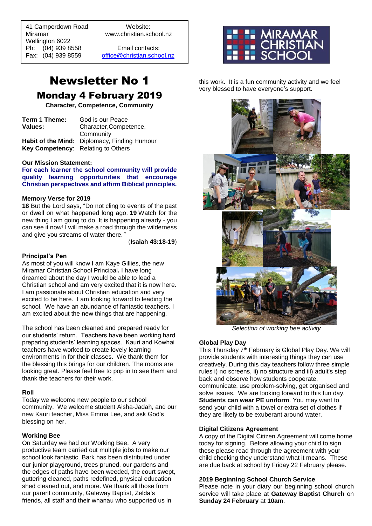41 Camperdown Road Website: Miramar www.christian.school.nz Wellington 6022 Ph: (04) 939 8558 Email contacts:

 $\overline{a}$ 

Fax: (04) 939 8559 [office@christian.school.nz](mailto:office@christian.school.nz)

## Newsletter No 1 Monday 4 February 2019

**Character, Competence, Community**

| Term 1 Theme:                      | God is our Peace                             |  |
|------------------------------------|----------------------------------------------|--|
| Values:                            | Character, Competence,                       |  |
|                                    | Community                                    |  |
|                                    | Habit of the Mind: Diplomacy, Finding Humour |  |
| Key Competency: Relating to Others |                                              |  |

#### **Our Mission Statement:**

**For each learner the school community will provide quality learning opportunities that encourage Christian perspectives and affirm Biblical principles***.*

#### **Memory Verse for 2019**

**18** But the Lord says, "Do not cling to events of the past or dwell on what happened long ago. **19** Watch for the new thing I am going to do. It is happening already - you can see it now! I will make a road through the wilderness and give you streams of water there*."*

(**Isaiah 43:18-19**)

#### **Principal's Pen**

As most of you will know I am Kaye Gillies, the new Miramar Christian School Principal**.** I have long dreamed about the day I would be able to lead a Christian school and am very excited that it is now here. I am passionate about Christian education and very excited to be here. I am looking forward to leading the school. We have an abundance of fantastic teachers. I am excited about the new things that are happening.

The school has been cleaned and prepared ready for our students' return. Teachers have been working hard preparing students' learning spaces. Kauri and Kowhai teachers have worked to create lovely learning environments in for their classes. We thank them for the blessing this brings for our children. The rooms are looking great. Please feel free to pop in to see them and thank the teachers for their work.

#### **Roll**

Today we welcome new people to our school community. We welcome student Aisha-Jadah, and our new Kauri teacher, Miss Emma Lee, and ask God's blessing on her.

#### **Working Bee**

On Saturday we had our Working Bee. A very productive team carried out multiple jobs to make our school look fantastic. Bark has been distributed under our junior playground, trees pruned, our gardens and the edges of paths have been weeded, the court swept, guttering cleaned, paths redefined, physical education shed cleaned out, and more. We thank all those from our parent community, Gateway Baptist, Zelda's friends, all staff and their whanau who supported us in



this work. It is a fun community activity and we feel very blessed to have everyone's support.



*Selection of working bee activity*

#### **Global Play Day**

This Thursday 7th February is Global Play Day. We will provide students with interesting things they can use creatively. During this day teachers follow three simple rules i) no screens, ii) no structure and iii) adult's step back and observe how students cooperate, communicate, use problem-solving, get organised and solve issues. We are looking forward to this fun day. **Students can wear PE uniform**. You may want to send your child with a towel or extra set of clothes if they are likely to be exuberant around water.

#### **Digital Citizens Agreement**

A copy of the Digital Citizen Agreement will come home today for signing. Before allowing your child to sign these please read through the agreement with your child checking they understand what it means. These are due back at school by Friday 22 February please.

#### **2019 Beginning School Church Service**

Please note in your diary our beginning school church service will take place at **Gateway Baptist Church** on **Sunday 24 February** at **10am**.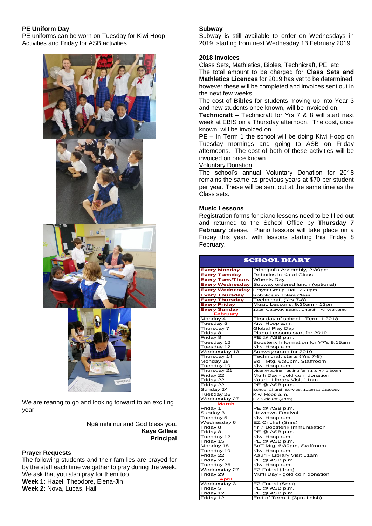### **PE Uniform Day**

PE uniforms can be worn on Tuesday for Kiwi Hoop Activities and Friday for ASB activities.



We are rearing to go and looking forward to an exciting year.

> Ngā mihi nui and God bless you. **Kaye Gillies Principal**

#### **Prayer Requests**

The following students and their families are prayed for by the staff each time we gather to pray during the week. We ask that you also pray for them too. **Week 1:** Hazel, Theodore, Elena-Jin **Week 2:** Nova, Lucas, Hail

#### **Subway**

Subway is still available to order on Wednesdays in 2019, starting from next Wednesday 13 February 2019.

#### **2018 Invoices**

Class Sets, Mathletics, Bibles, Technicraft, PE, etc

The total amount to be charged for **Class Sets and Mathletics Licences** for 2019 has yet to be determined, however these will be completed and invoices sent out in the next few weeks.

The cost of **Bibles** for students moving up into Year 3 and new students once known, will be invoiced on.

**Technicraft** – Technicraft for Yrs 7 & 8 will start next week at EBIS on a Thursday afternoon. The cost, once known, will be invoiced on.

**PE** – In Term 1 the school will be doing Kiwi Hoop on Tuesday mornings and going to ASB on Friday afternoons. The cost of both of these activities will be invoiced on once known.

#### Voluntary Donation

The school's annual Voluntary Donation for 2018 remains the same as previous years at \$70 per student per year. These will be sent out at the same time as the Class sets.

#### **Music Lessons**

Registration forms for piano lessons need to be filled out and returned to the School Office by **Thursday 7 February** please. Piano lessons will take place on a Friday this year, with lessons starting this Friday 8 February.

| <b>SCHOOL DIARY</b>     |                                           |  |  |  |
|-------------------------|-------------------------------------------|--|--|--|
| <b>Every Monday</b>     | Principal's Assembly, 2:30pm              |  |  |  |
| <b>Every Tuesday</b>    | Robotics in Kauri Class                   |  |  |  |
| <b>Every Tues/Thurs</b> | <b>Wheels Day</b>                         |  |  |  |
| <b>Every Wednesday</b>  | Subway ordered lunch (optional)           |  |  |  |
| <b>Every Wednesday</b>  | Prayer Group, Hall, 2:20pm                |  |  |  |
| <b>Every Thursday</b>   | Robotics in Totara Class                  |  |  |  |
| <b>Every Thursday</b>   | Technicraft (Yrs 7-8)                     |  |  |  |
| <b>Every Friday</b>     | Music Lessons, 9:30am - 12pm              |  |  |  |
| <b>Every Sunday</b>     | 10am Gateway Baptist Church - All Welcome |  |  |  |
| <b>February</b>         |                                           |  |  |  |
| Monday 4                | First day of school - Term 1 2018         |  |  |  |
| Tuesday 5               | Kiwi Hoop a.m.                            |  |  |  |
| Thursday 7              | <b>Global Play Day</b>                    |  |  |  |
| Friday 8                | Piano Lessons start for 2019              |  |  |  |
| Friday 8                | PE @ ASB p.m.                             |  |  |  |
| Tuesday 12              | Boosterix Information for Y7's 9:15am     |  |  |  |
| Tuesday 12              | Kiwi Hoop a.m.                            |  |  |  |
| Wednesday 13            | Subway starts for 2019                    |  |  |  |
| Thursday 14             | Technicraft starts (Yrs 7-8)              |  |  |  |
| Monday 18               | BoT Mtg, 6:30pm, Staffroom                |  |  |  |
| Tuesday 19              | Kiwi Hoop a.m.                            |  |  |  |
| Thursday 21             | Vison/Hearing Testing for Y1 & Y7 9:30am  |  |  |  |
| Friday 22               | Mufti Day - gold coin donation            |  |  |  |
| Friday 22               | Kauri - Library Visit 11am                |  |  |  |
| Friday 22               | PE @ ASB p.m.                             |  |  |  |
| Sunday 24               | School Church Service, 10am at Gateway    |  |  |  |
| Tuesday 26              | Kiwi Hoop a.m.                            |  |  |  |
| Wednesday 27            | EZ Cricket (Jnrs)                         |  |  |  |
| March                   |                                           |  |  |  |
| Friday 1                | PE @ ASB p.m.                             |  |  |  |
| Sunday 3                | <b>Newtown Festival</b>                   |  |  |  |
| Tuesday 5               | Kiwi Hoop a.m.                            |  |  |  |
| Wednesday 6             | <b>EZ Cricket (Snrs)</b>                  |  |  |  |
| Friday 8                | Yr 7 Boosterix Immunisation               |  |  |  |
| Friday 8                | PE @ ASB p.m.                             |  |  |  |
| Tuesday 12              | Kiwi Hoop a.m.                            |  |  |  |
| Friday 15               | PE @ ASB p.m.                             |  |  |  |
| Monday 18               | BoT Mtg, 6:30pm, Staffroom                |  |  |  |
| Tuesday 19              | Kiwi Hoop a.m.                            |  |  |  |
| Friday 22               | Kauri - Library Visit 11am                |  |  |  |
| Friday 22               | PE @ ASB p.m.                             |  |  |  |
| Tuesday 26              | Kiwi Hoop a.m.                            |  |  |  |
| Wednesday 27            | EZ Futsal (Jnrs)                          |  |  |  |
| Friday 29               | Mufti Day - gold coin donation            |  |  |  |
| <b>April</b>            |                                           |  |  |  |
| Wednesday 3             | EZ Futsal (Snrs)                          |  |  |  |
| Friday 5                | PE @ ASB p.m.<br>PE @ ASB p.m.            |  |  |  |
| Friday 12<br>Friday 12  | End of Term 1 (3pm finish)                |  |  |  |
|                         |                                           |  |  |  |